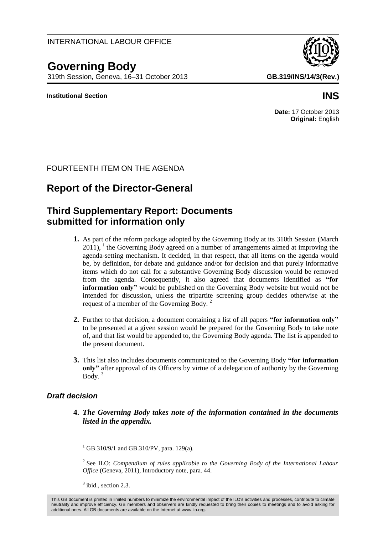### INTERNATIONAL LABOUR OFFICE

# **Governing Body**

319th Session, Geneva, 16–31 October 2013 **GB.319/INS/14/3(Rev.)**

#### **Institutional Section INS**

## **Report of the Director-General**

FOURTEENTH ITEM ON THE AGENDA

## **Third Supplementary Report: Documents submitted for information only**

- **1.** As part of the reform package adopted by the Governing Body at its 310th Session (March  $2011$ ), <sup>1</sup> the Governing Body agreed on a number of arrangements aimed at improving the agenda-setting mechanism. It decided, in that respect, that all items on the agenda would be, by definition, for debate and guidance and/or for decision and that purely informative items which do not call for a substantive Governing Body discussion would be removed from the agenda. Consequently, it also agreed that documents identified as **"for information only"** would be published on the Governing Body website but would not be intended for discussion, unless the tripartite screening group decides otherwise at the request of a member of the Governing Body. <sup>2</sup>
- **2.** Further to that decision, a document containing a list of all papers **"for information only"** to be presented at a given session would be prepared for the Governing Body to take note of, and that list would be appended to, the Governing Body agenda. The list is appended to the present document.
- **3.** This list also includes documents communicated to the Governing Body **"for information only"** after approval of its Officers by virtue of a delegation of authority by the Governing Body. $3$

### *Draft decision*

**4.** *The Governing Body takes note of the information contained in the documents listed in the appendix.*

 $^{1}$  GB.310/9/1 and GB.310/PV, para. 129(a).

<sup>2</sup> See ILO: *Compendium of rules applicable to the Governing Body of the International Labour Office* (Geneva, 2011), Introductory note, para. 44.

 $3$  ibid., section 2.3.

**Date:** 17 October 2013 **Original:** English

This GB document is printed in limited numbers to minimize the environmental impact of the ILO's activities and processes, contribute to climate neutrality and improve efficiency. GB members and observers are kindly requested to bring their copies to meetings and to avoid asking for additional ones. All GB documents are available on the Internet at www.ilo.org.